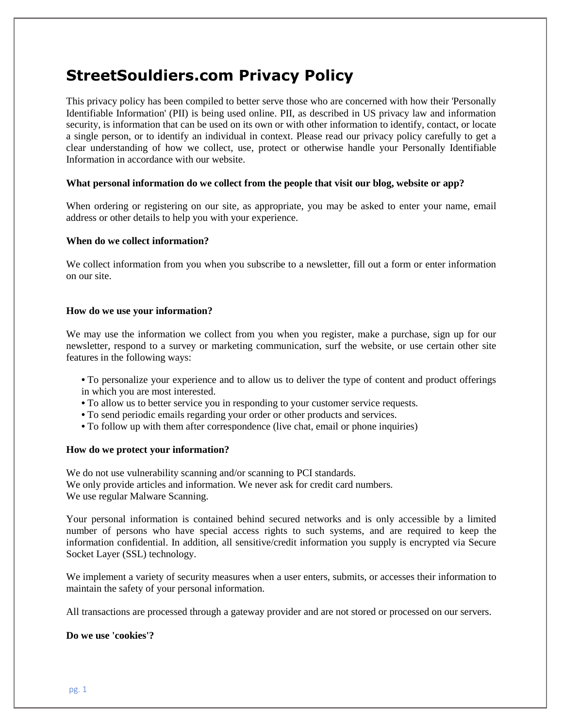# **StreetSouldiers.com Privacy Policy**

This privacy policy has been compiled to better serve those who are concerned with how their 'Personally Identifiable Information' (PII) is being used online. PII, as described in US privacy law and information security, is information that can be used on its own or with other information to identify, contact, or locate a single person, or to identify an individual in context. Please read our privacy policy carefully to get a clear understanding of how we collect, use, protect or otherwise handle your Personally Identifiable Information in accordance with our website.

## **What personal information do we collect from the people that visit our blog, website or app?**

When ordering or registering on our site, as appropriate, you may be asked to enter your name, email address or other details to help you with your experience.

#### **When do we collect information?**

We collect information from you when you subscribe to a new sletter, fill out a form or enter information on our site.

## **How do we use your information?**

We may use the information we collect from you when you register, make a purchase, sign up for our newsletter, respond to a survey or marketing communication, surf the website, or use certain other site features in the following ways:

**•** To personalize your experience and to allow us to deliver the type of content and product offerings in which you are most interested.

- **•** To allow us to better service you in responding to your customer service requests.
- **•** To send periodic emails regarding your order or other products and services.
- **•** To follow up with them after correspondence (live chat, email or phone inquiries)

#### **How do we protect your information?**

We do not use vulnerability scanning and/or scanning to PCI standards. We only provide articles and information. We never ask for credit card numbers. We use regular Malware Scanning.

Your personal information is contained behind secured networks and is only accessible by a limited number of persons who have special access rights to such systems, and are required to keep the information confidential. In addition, all sensitive/credit information you supply is encrypted via Secure Socket Layer (SSL) technology.

We implement a variety of security measures when a user enters, submits, or accesses their information to maintain the safety of your personal information.

All transactions are processed through a gateway provider and are not stored or processed on our servers.

#### **Do we use 'cookies'?**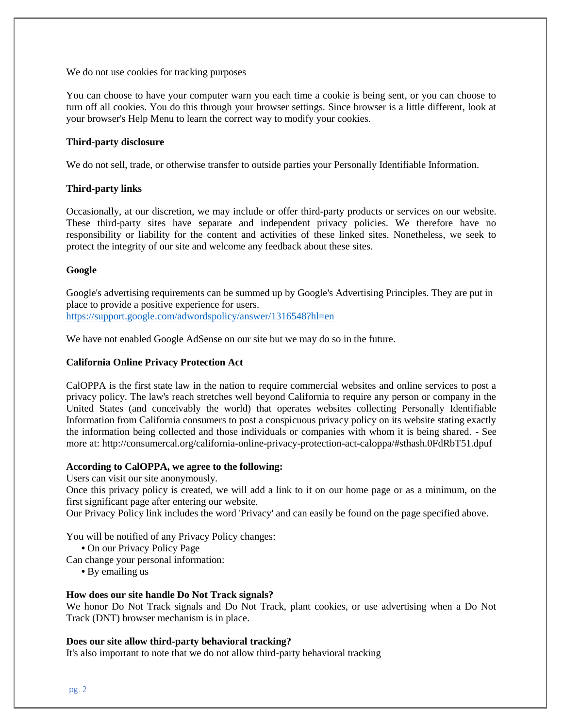#### We do not use cookies for tracking purposes

You can choose to have your computer warn you each time a cookie is being sent, or you can choose to turn off all cookies. You do this through your browser settings. Since browser is a little different, look at your browser's Help Menu to learn the correct way to modify your cookies.

## **Third-party disclosure**

We do not sell, trade, or otherwise transfer to outside parties your Personally Identifiable Information.

## **Third-party links**

Occasionally, at our discretion, we may include or offer third-party products or services on our website. These third-party sites have separate and independent privacy policies. We therefore have no responsibility or liability for the content and activities of these linked sites. Nonetheless, we seek to protect the integrity of our site and welcome any feedback about these sites.

## **Google**

Google's advertising requirements can be summed up by Google's Advertising Principles. They are put in place to provide a positive experience for users. <https://support.google.com/adwordspolicy/answer/1316548?hl=en>

We have not enabled Google AdSense on our site but we may do so in the future.

## **California Online Privacy Protection Act**

CalOPPA is the first state law in the nation to require commercial websites and online services to post a privacy policy. The law's reach stretches well beyond California to require any person or company in the United States (and conceivably the world) that operates websites collecting Personally Identifiable Information from California consumers to post a conspicuous privacy policy on its website stating exactly the information being collected and those individuals or companies with whom it is being shared. - See more at: http://consumercal.org/california-online-privacy-protection-act-caloppa/#sthash.0FdRbT51.dpuf

#### **According to CalOPPA, we agree to the following:**

Users can visit our site anonymously.

Once this privacy policy is created, we will add a link to it on our home page or as a minimum, on the first significant page after entering our website.

Our Privacy Policy link includes the word 'Privacy' and can easily be found on the page specified above.

You will be notified of any Privacy Policy changes:

- **•** On our Privacy Policy Page
- Can change your personal information:
	- **•** By emailing us

## **How does our site handle Do Not Track signals?**

We honor Do Not Track signals and Do Not Track, plant cookies, or use advertising when a Do Not Track (DNT) browser mechanism is in place.

#### **Does our site allow third-party behavioral tracking?**

It's also important to note that we do not allow third-party behavioral tracking